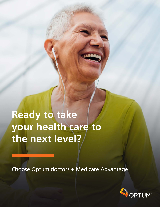**Ready to take your health care to the next level?**

Choose Optum doctors + Medicare Advantage

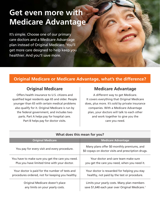# **Get even more with Medicare Advantage**

It's simple. Choose one of our primary care doctors and a Medicare Advantage plan instead of Original Medicare. You'll get more care designed to help keep you healthier. And you'll save more.

# **Original Medicare or Medicare Advantage, what's the difference?**

Offers health insurance to U.S. citizens and qualified legal residents age 65 and older. People younger than 65 with certain medical problems also qualify for it. Original Medicare is run by the federal government, and includes two parts. Part A helps pay for hospital care. Part B helps pay for doctor visits.

### **Original Medicare Medicare Advantage**

A different way to get Medicare. It covers everything that Original Medicare does, plus more. It's sold by private insurance companies. With a Medicare Advantage plan, your doctors will talk to each other and work together to give you the care you need.

| What does this mean for you?                     |                                                                                                   |
|--------------------------------------------------|---------------------------------------------------------------------------------------------------|
| <b>Original Medicare</b>                         | <b>Medicare Advantage</b>                                                                         |
| You pay for every visit and every procedure.     | Many plans offer \$0 monthly premiums, and<br>\$0 copays on doctor visits and prescription drugs. |
| You have to make sure you get the care you need. | Your doctor and care team make sure                                                               |
| Plus you have limited time with your doctor.     | you get the care you need, when you need it.                                                      |
| Your doctor is paid for the number of tests and  | Your doctor is rewarded for helping you stay                                                      |
| procedures ordered, not for keeping you healthy. | healthy, not paid by the test or procedure.                                                       |
| Original Medicare doesn't place                  | Limits your yearly costs. Many plan members                                                       |
| any limits on your yearly costs.                 | save \$1,640 each year over Original Medicare. <sup>1</sup>                                       |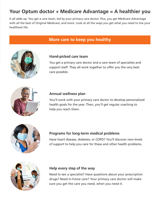# **Your Optum doctor + Medicare Advantage = A healthier you**

It all adds up. You get a care team, led by your primary care doctor. Plus, you get Medicare Advantage with all the best of Original Medicare, and more. Look at all the ways you get what you need to live your healthiest life.

### **More care to keep you healthy**



#### **Hand-picked care team**

You get a primary care doctor and a care team of specialists and support staff. They all work together to offer you the very best care possible.



#### **Annual wellness plan**

You'll work with your primary care doctor to develop personalized health goals for the year. Then, you'll get regular coaching to help you reach them.



### **Programs for long-term medical problems**

Have heart disease, diabetes, or COPD? You'll discover new levels of support to help you care for these and other health problems.



#### **Help every step of the way**

Need to see a specialist? Have questions about your prescription drugs? Need in-home care? Your primary care doctor will make sure you get the care you need, when you need it.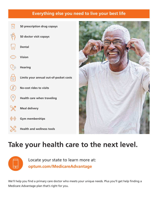# **Everything else you need to live your best life**

 $\overline{\triangledown}$ **\$0 prescription drug copays**  $\gamma_{\text{p}}$ **\$0 doctor visit copays**  $\sqrt{\Lambda}$ **Dental Vision**  $Q_{\left(\left(\ell\right)\right)}^{2}$ **Hearing**  $\Xi$ **Limits your annual out-of-pocket costs**  $\bigotimes$ **No-cost rides to visits**   $\circledcirc$ **Health care when traveling Meal delivery**  $\bigoplus$ **Gym memberships Health and wellness tools**



# **Take your health care to the next level.**



Locate your state to learn more at: **optum.com/MedicareAdvantage**

We'll help you find a primary care doctor who meets your unique needs. Plus you'll get help finding a Medicare Advantage plan that's right for you.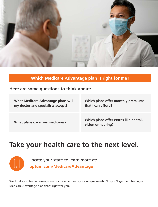

# **Which Medicare Advantage plan is right for me?**

### **Here are some questions to think about:**

| <b>What Medicare Advantage plans will</b> | Which plans offer monthly premiums                          |
|-------------------------------------------|-------------------------------------------------------------|
| my doctor and specialists accept?         | that I can afford?                                          |
| What plans cover my medicines?            | Which plans offer extras like dental,<br>vision or hearing? |

# **Take your health care to the next level.**



Locate your state to learn more at: **optum.com/MedicareAdvantage**

We'll help you find a primary care doctor who meets your unique needs. Plus you'll get help finding a Medicare Advantage plan that's right for you.